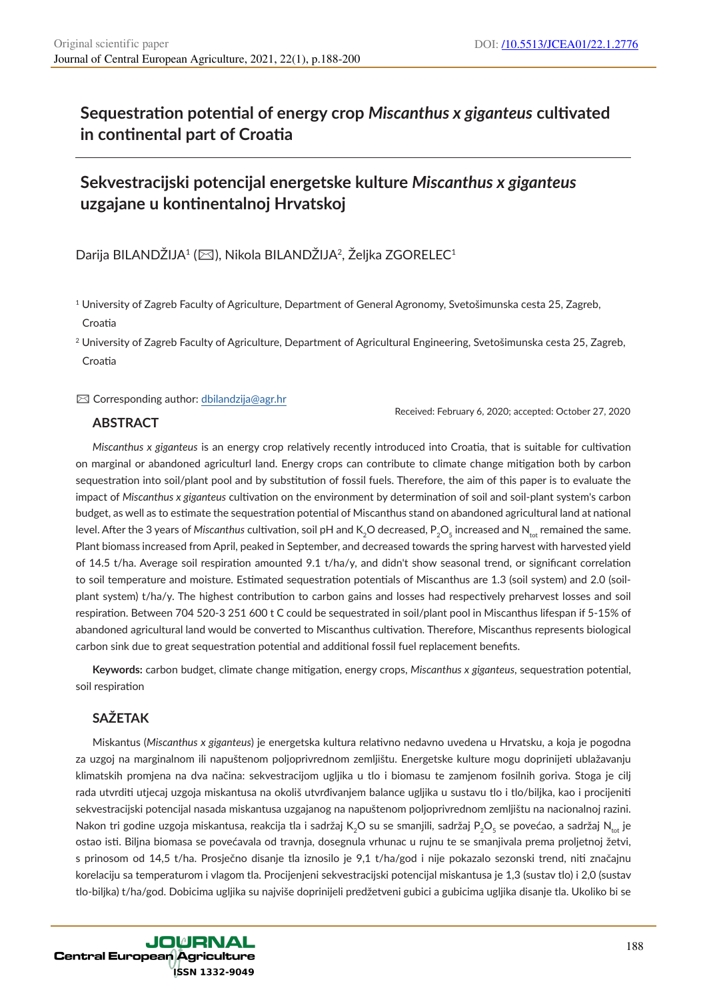# **Sequestration potential of energy crop** *Miscanthus x giganteus* **cultivated in continental part of Croatia**

# **Sekvestracijski potencijal energetske kulture** *Miscanthus x giganteus* **uzgajane u kontinentalnoj Hrvatskoj**

Darija BILANDŽIJA<sup>1</sup> (⊠), Nikola BILANDŽIJA<sup>2</sup>, Željka ZGORELEC<sup>1</sup>

 $\boxtimes$  Corresponding author: dbilandzija@agr.hr

Received: February 6, 2020; accepted: October 27, 2020

## **ABSTRACT**

*Miscanthus x giganteus* is an energy crop relatively recently introduced into Croatia, that is suitable for cultivation on marginal or abandoned agriculturl land. Energy crops can contribute to climate change mitigation both by carbon sequestration into soil/plant pool and by substitution of fossil fuels. Therefore, the aim of this paper is to evaluate the impact of *Miscanthus x giganteus* cultivation on the environment by determination of soil and soil-plant system's carbon budget, as well as to estimate the sequestration potential of Miscanthus stand on abandoned agricultural land at national level. After the 3 years of Miscanthus cultivation, soil pH and K<sub>2</sub>O decreased, P<sub>2</sub>O<sub>5</sub> increased and N<sub>tot</sub> remained the same. Plant biomass increased from April, peaked in September, and decreased towards the spring harvest with harvested yield of 14.5 t/ha. Average soil respiration amounted 9.1 t/ha/y, and didn't show seasonal trend, or significant correlation to soil temperature and moisture. Estimated sequestration potentials of Miscanthus are 1.3 (soil system) and 2.0 (soilplant system) t/ha/y. The highest contribution to carbon gains and losses had respectively preharvest losses and soil respiration. Between 704 520-3 251 600 t C could be sequestrated in soil/plant pool in Miscanthus lifespan if 5-15% of abandoned agricultural land would be converted to Miscanthus cultivation. Therefore, Miscanthus represents biological carbon sink due to great sequestration potential and additional fossil fuel replacement benefits.

**Keywords:** carbon budget, climate change mitigation, energy crops, *Miscanthus x giganteus*, sequestration potential, soil respiration

## **SAŽETAK**

Miskantus (*Miscanthus x giganteus*) je energetska kultura relativno nedavno uvedena u Hrvatsku, a koja je pogodna za uzgoj na marginalnom ili napuštenom poljoprivrednom zemljištu. Energetske kulture mogu doprinijeti ublažavanju klimatskih promjena na dva načina: sekvestracijom ugljika u tlo i biomasu te zamjenom fosilnih goriva. Stoga je cilj rada utvrditi utjecaj uzgoja miskantusa na okoliš utvrđivanjem balance ugljika u sustavu tlo i tlo/biljka, kao i procijeniti sekvestracijski potencijal nasada miskantusa uzgajanog na napuštenom poljoprivrednom zemljištu na nacionalnoj razini. Nakon tri godine uzgoja miskantusa, reakcija tla i sadržaj K<sub>2</sub>O su se smanjili, sadržaj P<sub>2</sub>O<sub>5</sub> se povećao, a sadržaj N<sub>...</sub> je ostao isti. Biljna biomasa se povećavala od travnja, dosegnula vrhunac u rujnu te se smanjivala prema proljetnoj žetvi, s prinosom od 14,5 t/ha. Prosječno disanje tla iznosilo je 9,1 t/ha/god i nije pokazalo sezonski trend, niti značajnu korelaciju sa temperaturom i vlagom tla. Procijenjeni sekvestracijski potencijal miskantusa je 1,3 (sustav tlo) i 2,0 (sustav tlo-biljka) t/ha/god. Dobicima ugljika su najviše doprinijeli predžetveni gubici a gubicima ugljika disanje tla. Ukoliko bi se

<sup>1</sup> University of Zagreb Faculty of Agriculture, Department of General Agronomy, Svetošimunska cesta 25, Zagreb, Croatia

<sup>&</sup>lt;sup>2</sup> University of Zagreb Faculty of Agriculture, Department of Agricultural Engineering, Svetošimunska cesta 25, Zagreb, Croatia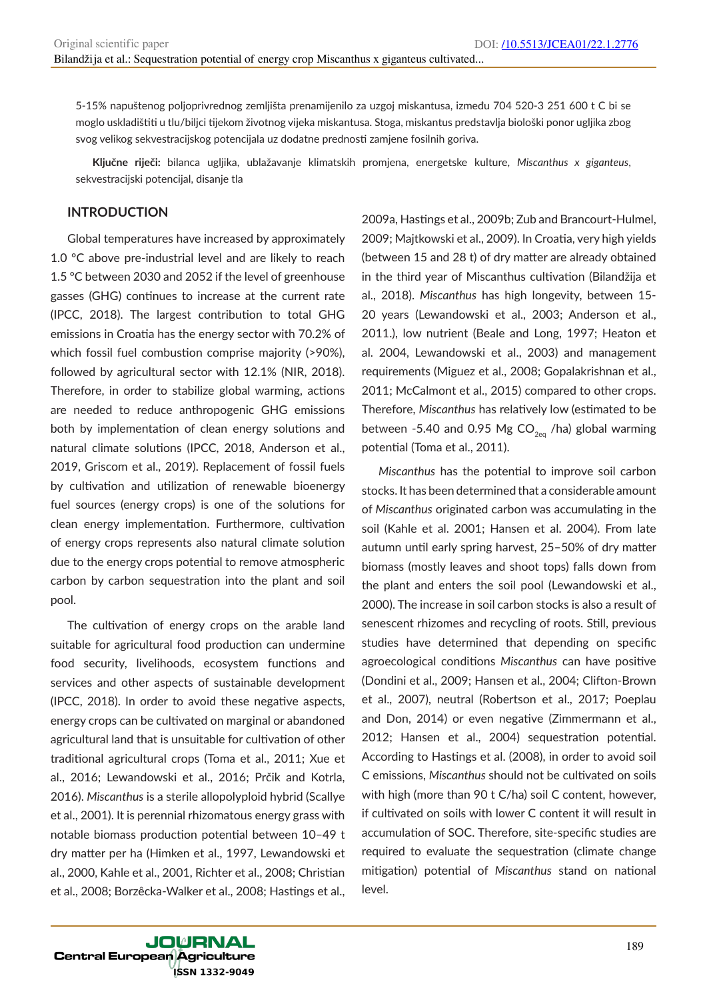5-15% napuštenog poljoprivrednog zemljišta prenamijenilo za uzgoj miskantusa, između 704 520-3 251 600 t C bi se moglo uskladištiti u tlu/biljci tijekom životnog vijeka miskantusa. Stoga, miskantus predstavlja biološki ponor ugljika zbog svog velikog sekvestracijskog potencijala uz dodatne prednosti zamjene fosilnih goriva.

**Ključne riječi:** bilanca ugljika, ublažavanje klimatskih promjena, energetske kulture, *Miscanthus x giganteus*, sekvestracijski potencijal, disanje tla

## **INTRODUCTION**

Global temperatures have increased by approximately 1.0 °C above pre-industrial level and are likely to reach 1.5 °C between 2030 and 2052 if the level of greenhouse gasses (GHG) continues to increase at the current rate (IPCC, 2018). The largest contribution to total GHG emissions in Croatia has the energy sector with 70.2% of which fossil fuel combustion comprise majority (>90%), followed by agricultural sector with 12.1% (NIR, 2018). Therefore, in order to stabilize global warming, actions are needed to reduce anthropogenic GHG emissions both by implementation of clean energy solutions and natural climate solutions (IPCC, 2018, Anderson et al., 2019, Griscom et al., 2019). Replacement of fossil fuels by cultivation and utilization of renewable bioenergy fuel sources (energy crops) is one of the solutions for clean energy implementation. Furthermore, cultivation of energy crops represents also natural climate solution due to the energy crops potential to remove atmospheric carbon by carbon sequestration into the plant and soil pool.

The cultivation of energy crops on the arable land suitable for agricultural food production can undermine food security, livelihoods, ecosystem functions and services and other aspects of sustainable development (IPCC, 2018). In order to avoid these negative aspects, energy crops can be cultivated on marginal or abandoned agricultural land that is unsuitable for cultivation of other traditional agricultural crops (Toma et al., 2011; Xue et al., 2016; Lewandowski et al., 2016; Prčik and Kotrla, 2016). *Miscanthus* is a sterile allopolyploid hybrid (Scallye et al., 2001). It is perennial rhizomatous energy grass with notable biomass production potential between 10–49 t dry matter per ha (Himken et al., 1997, Lewandowski et al., 2000, Kahle et al., 2001, Richter et al., 2008; Christian et al., 2008; Borzêcka-Walker et al., 2008; Hastings et al.,

2009a, Hastings et al., 2009b; Zub and Brancourt-Hulmel, 2009; Majtkowski et al., 2009). In Croatia, very high yields (between 15 and 28 t) of dry matter are already obtained in the third year of Miscanthus cultivation (Bilandžija et al., 2018). *Miscanthus* has high longevity, between 15- 20 years (Lewandowski et al., 2003; Anderson et al., 2011.), low nutrient (Beale and Long, 1997; Heaton et al. 2004, Lewandowski et al., 2003) and management requirements (Miguez et al., 2008; Gopalakrishnan et al., 2011; McCalmont et al., 2015) compared to other crops. Therefore, *Miscanthus* has relatively low (estimated to be between -5.40 and 0.95 Mg  $CO_{2eq}$  /ha) global warming potential (Toma et al., 2011).

*Miscanthus* has the potential to improve soil carbon stocks. It has been determined that a considerable amount of *Miscanthus* originated carbon was accumulating in the soil (Kahle et al. 2001; Hansen et al. 2004). From late autumn until early spring harvest, 25–50% of dry matter biomass (mostly leaves and shoot tops) falls down from the plant and enters the soil pool (Lewandowski et al., 2000). The increase in soil carbon stocks is also a result of senescent rhizomes and recycling of roots. Still, previous studies have determined that depending on specific agroecological conditions *Miscanthus* can have positive (Dondini et al., 2009; Hansen et al., 2004; Clifton-Brown et al., 2007), neutral (Robertson et al., 2017; Poeplau and Don, 2014) or even negative (Zimmermann et al., 2012; Hansen et al., 2004) sequestration potential. According to Hastings et al. (2008), in order to avoid soil C emissions, *Miscanthus* should not be cultivated on soils with high (more than 90 t C/ha) soil C content, however, if cultivated on soils with lower C content it will result in accumulation of SOC. Therefore, site-specific studies are required to evaluate the sequestration (climate change mitigation) potential of *Miscanthus* stand on national level.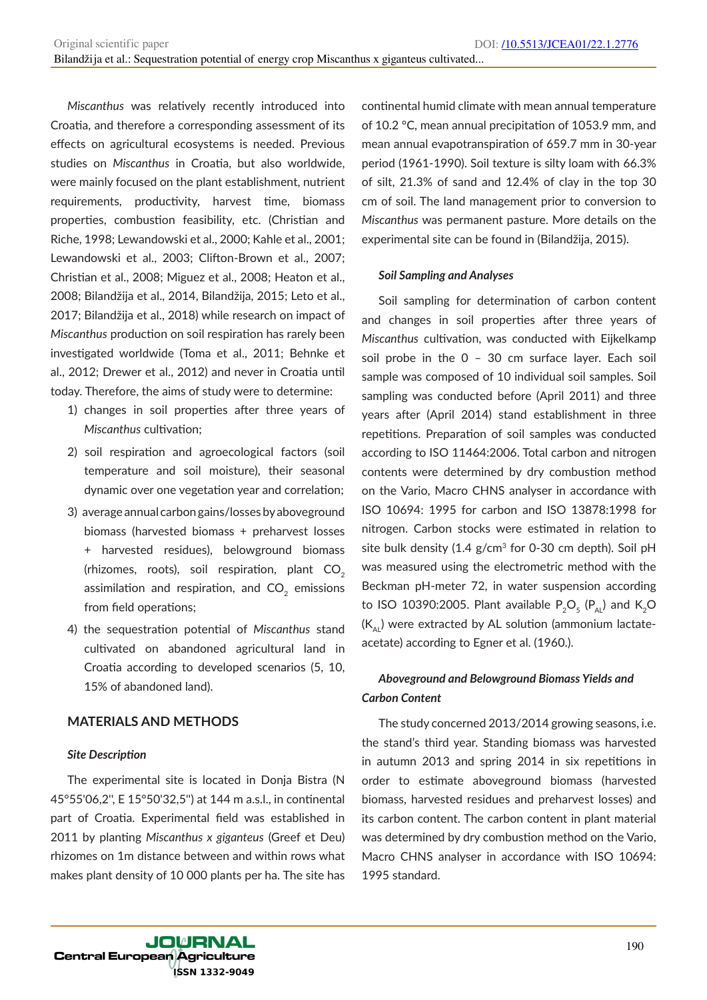*Miscanthus* was relatively recently introduced into Croatia, and therefore a corresponding assessment of its effects on agricultural ecosystems is needed. Previous studies on *Miscanthus* in Croatia, but also worldwide, were mainly focused on the plant establishment, nutrient requirements, productivity, harvest time, biomass properties, combustion feasibility, etc. (Christian and Riche, 1998; Lewandowski et al., 2000; Kahle et al., 2001; Lewandowski et al., 2003; Clifton-Brown et al., 2007; Christian et al., 2008; Miguez et al., 2008; Heaton et al., 2008; Bilandžija et al., 2014, Bilandžija, 2015; Leto et al., 2017; Bilandžija et al., 2018) while research on impact of *Miscanthus* production on soil respiration has rarely been investigated worldwide (Toma et al., 2011; Behnke et al., 2012; Drewer et al., 2012) and never in Croatia until today. Therefore, the aims of study were to determine:

- 1) changes in soil properties after three years of *Miscanthus* cultivation;
- 2) soil respiration and agroecological factors (soil temperature and soil moisture), their seasonal dynamic over one vegetation year and correlation;
- 3) average annual carbon gains/losses by aboveground biomass (harvested biomass + preharvest losses + harvested residues), belowground biomass (rhizomes, roots), soil respiration, plant  $CO<sub>2</sub>$ assimilation and respiration, and  $CO<sub>2</sub>$  emissions from field operations;
- 4) the sequestration potential of *Miscanthus* stand cultivated on abandoned agricultural land in Croatia according to developed scenarios (5, 10, 15% of abandoned land).

## **MATERIALS AND METHODS**

#### *Site Description*

The experimental site is located in Donja Bistra (N 45°55'06,2'', E 15°50'32,5'') at 144 m a.s.l., in continental part of Croatia. Experimental field was established in 2011 by planting *Miscanthus x giganteus* (Greef et Deu) rhizomes on 1m distance between and within rows what makes plant density of 10 000 plants per ha. The site has continental humid climate with mean annual temperature of 10.2 °C, mean annual precipitation of 1053.9 mm, and mean annual evapotranspiration of 659.7 mm in 30-year period (1961-1990). Soil texture is silty loam with 66.3% of silt, 21.3% of sand and 12.4% of clay in the top 30 cm of soil. The land management prior to conversion to *Miscanthus* was permanent pasture. More details on the experimental site can be found in (Bilandžija, 2015).

#### *Soil Sampling and Analyses*

Soil sampling for determination of carbon content and changes in soil properties after three years of *Miscanthus* cultivation, was conducted with Eijkelkamp soil probe in the 0 – 30 cm surface layer. Each soil sample was composed of 10 individual soil samples. Soil sampling was conducted before (April 2011) and three years after (April 2014) stand establishment in three repetitions. Preparation of soil samples was conducted according to ISO 11464:2006. Total carbon and nitrogen contents were determined by dry combustion method on the Vario, Macro CHNS analyser in accordance with ISO 10694: 1995 for carbon and ISO 13878:1998 for nitrogen. Carbon stocks were estimated in relation to site bulk density (1.4  $g/cm<sup>3</sup>$  for 0-30 cm depth). Soil pH was measured using the electrometric method with the Beckman pH-meter 72, in water suspension according to ISO 10390:2005. Plant available  $P_2O_5(P_{Al})$  and  $K_2O$  $(K_{\text{Al}})$  were extracted by AL solution (ammonium lactateacetate) according to Egner et al. (1960.).

## *Aboveground and Belowground Biomass Yields and Carbon Content*

The study concerned 2013/2014 growing seasons, i.e. the stand's third year. Standing biomass was harvested in autumn 2013 and spring 2014 in six repetitions in order to estimate aboveground biomass (harvested biomass, harvested residues and preharvest losses) and its carbon content. The carbon content in plant material was determined by dry combustion method on the Vario, Macro CHNS analyser in accordance with ISO 10694: 1995 standard.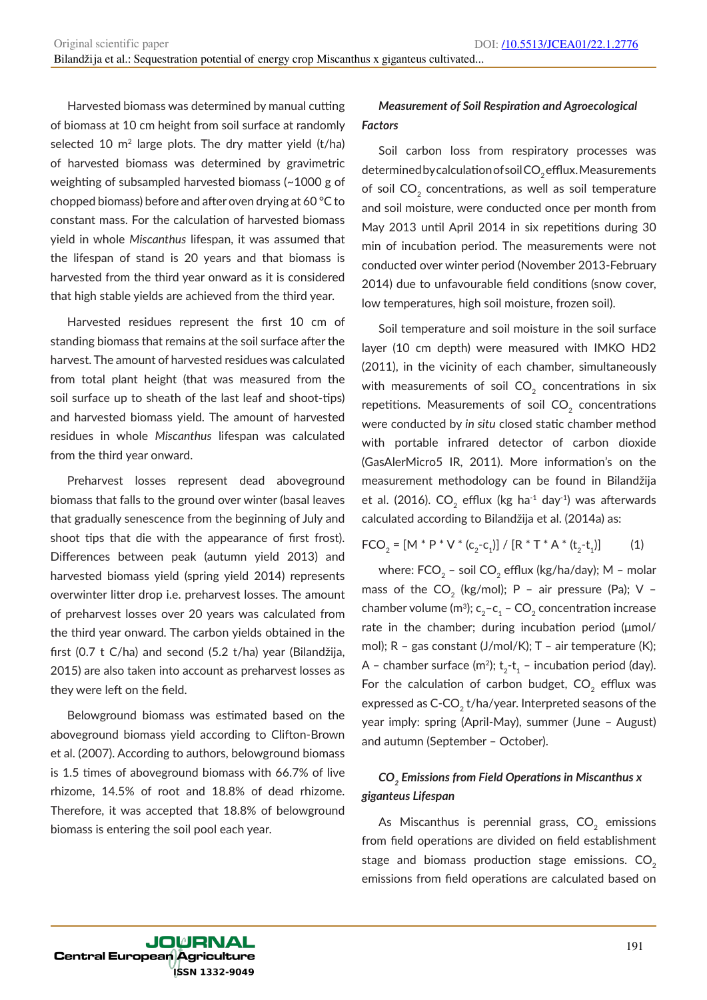Harvested biomass was determined by manual cutting of biomass at 10 cm height from soil surface at randomly selected 10  $m<sup>2</sup>$  large plots. The dry matter yield (t/ha) of harvested biomass was determined by gravimetric weighting of subsampled harvested biomass (~1000 g of chopped biomass) before and after oven drying at 60 °C to constant mass. For the calculation of harvested biomass yield in whole *Miscanthus* lifespan, it was assumed that the lifespan of stand is 20 years and that biomass is harvested from the third year onward as it is considered that high stable yields are achieved from the third year.

Harvested residues represent the first 10 cm of standing biomass that remains at the soil surface after the harvest. The amount of harvested residues was calculated from total plant height (that was measured from the soil surface up to sheath of the last leaf and shoot-tips) and harvested biomass yield. The amount of harvested residues in whole *Miscanthus* lifespan was calculated from the third year onward.

Preharvest losses represent dead aboveground biomass that falls to the ground over winter (basal leaves that gradually senescence from the beginning of July and shoot tips that die with the appearance of first frost). Differences between peak (autumn yield 2013) and harvested biomass yield (spring yield 2014) represents overwinter litter drop i.e. preharvest losses. The amount of preharvest losses over 20 years was calculated from the third year onward. The carbon yields obtained in the first (0.7 t C/ha) and second (5.2 t/ha) year (Bilandžija, 2015) are also taken into account as preharvest losses as they were left on the field.

Belowground biomass was estimated based on the aboveground biomass yield according to Clifton‐Brown et al. (2007). According to authors, belowground biomass is 1.5 times of aboveground biomass with 66.7% of live rhizome, 14.5% of root and 18.8% of dead rhizome. Therefore, it was accepted that 18.8% of belowground biomass is entering the soil pool each year.

## *Measurement of Soil Respiration and Agroecological Factors*

Soil carbon loss from respiratory processes was determined by calculation of soil CO<sub>2</sub> efflux. Measurements of soil  $CO<sub>2</sub>$  concentrations, as well as soil temperature and soil moisture, were conducted once per month from May 2013 until April 2014 in six repetitions during 30 min of incubation period. The measurements were not conducted over winter period (November 2013-February 2014) due to unfavourable field conditions (snow cover, low temperatures, high soil moisture, frozen soil).

Soil temperature and soil moisture in the soil surface layer (10 cm depth) were measured with IMKO HD2 (2011), in the vicinity of each chamber, simultaneously with measurements of soil  $CO<sub>2</sub>$  concentrations in six repetitions. Measurements of soil  $CO<sub>2</sub>$  concentrations were conducted by *in situ* closed static chamber method with portable infrared detector of carbon dioxide (GasAlerMicro5 IR, 2011). More information's on the measurement methodology can be found in Bilandžija et al. (2016). CO<sub>2</sub> efflux (kg ha<sup>-1</sup> day<sup>-1</sup>) was afterwards calculated according to Bilandžija et al. (2014a) as:

$$
FCO_2 = [M * P * V * (c_2 - c_1)] / [R * T * A * (t_2 - t_1)]
$$
 (1)

where:  $FCO<sub>2</sub>$  – soil  $CO<sub>2</sub>$  efflux (kg/ha/day); M – molar mass of the  $CO_2$  (kg/mol); P - air pressure (Pa); V chamber volume (m<sup>3</sup>); c<sub>2</sub>-c<sub>1</sub> – CO<sub>2</sub> concentration increase rate in the chamber; during incubation period (μmol/ mol); R – gas constant (J/mol/K); T – air temperature (K); A – chamber surface (m<sup>2</sup>);  $t_2-t_1$  – incubation period (day). For the calculation of carbon budget,  $CO<sub>2</sub>$  efflux was expressed as  $C$ -CO<sub>2</sub> t/ha/year. Interpreted seasons of the year imply: spring (April-May), summer (June – August) and autumn (September – October).

## *CO2 Emissions from Field Operations in Miscanthus x giganteus Lifespan*

As Miscanthus is perennial grass,  $CO<sub>2</sub>$  emissions from field operations are divided on field establishment stage and biomass production stage emissions.  $CO<sub>2</sub>$ emissions from field operations are calculated based on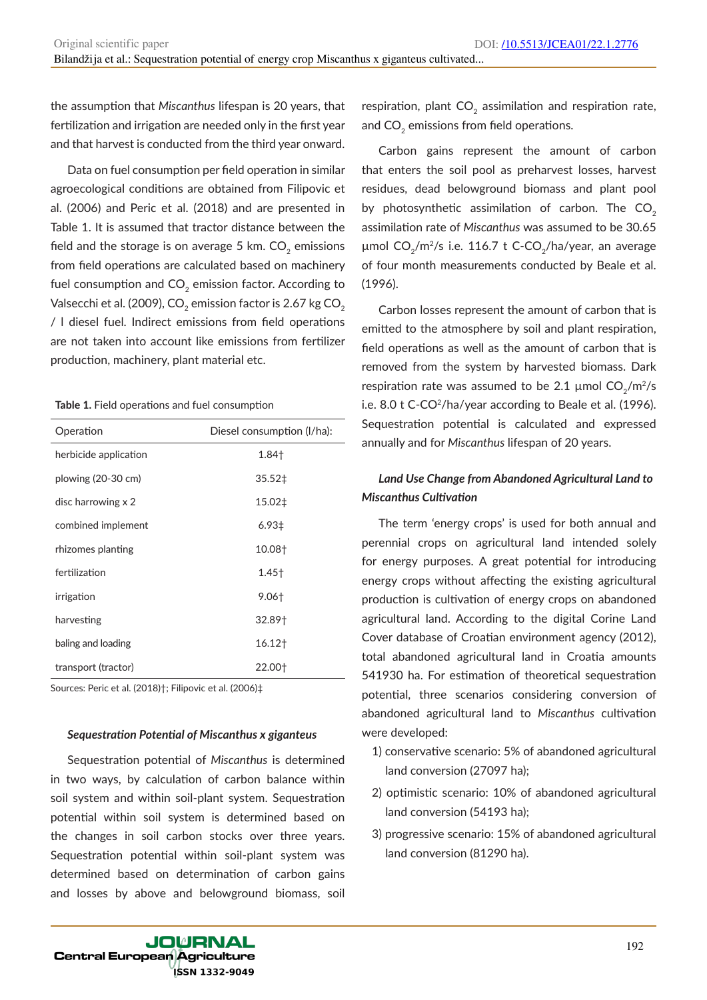the assumption that *Miscanthus* lifespan is 20 years, that fertilization and irrigation are needed only in the first year and that harvest is conducted from the third year onward.

Data on fuel consumption per field operation in similar agroecological conditions are obtained from Filipovic et al. (2006) and Peric et al. (2018) and are presented in Table 1. It is assumed that tractor distance between the field and the storage is on average 5 km.  $CO<sub>2</sub>$  emissions from field operations are calculated based on machinery fuel consumption and  $CO<sub>2</sub>$  emission factor. According to Valsecchi et al. (2009), CO<sub>2</sub> emission factor is 2.67 kg CO<sub>2</sub> / l diesel fuel. Indirect emissions from field operations are not taken into account like emissions from fertilizer production, machinery, plant material etc.

#### **Table 1.** Field operations and fuel consumption

| Operation                    | Diesel consumption (I/ha): |  |  |
|------------------------------|----------------------------|--|--|
| herbicide application        | 1.84†                      |  |  |
| plowing $(20-30 \text{ cm})$ | $35.52 \ddagger$           |  |  |
| disc harrowing x 2           | 15.02‡                     |  |  |
| combined implement           | $6.93{\pm}$                |  |  |
| rhizomes planting            | 10.08†                     |  |  |
| fertilization                | $1.45+$                    |  |  |
| irrigation                   | $9.06+$                    |  |  |
| harvesting                   | 32.89†                     |  |  |
| baling and loading           | 16.12†                     |  |  |
| transport (tractor)          | 22.00†                     |  |  |

Sources: Peric et al. (2018)†; Filipovic et al. (2006)‡

#### *Sequestration Potential of Miscanthus x giganteus*

Sequestration potential of *Miscanthus* is determined in two ways, by calculation of carbon balance within soil system and within soil-plant system. Sequestration potential within soil system is determined based on the changes in soil carbon stocks over three years. Sequestration potential within soil-plant system was determined based on determination of carbon gains and losses by above and belowground biomass, soil

**JOURNAL** Central European Agriculture SSN 1332-9049

respiration, plant  $CO<sub>2</sub>$  assimilation and respiration rate, and  $CO<sub>2</sub>$  emissions from field operations.

Carbon gains represent the amount of carbon that enters the soil pool as preharvest losses, harvest residues, dead belowground biomass and plant pool by photosynthetic assimilation of carbon. The  $CO<sub>2</sub>$ assimilation rate of *Miscanthus* was assumed to be 30.65 µmol  $CO_2/m^2/s$  i.e. 116.7 t C-CO<sub>2</sub>/ha/year, an average of four month measurements conducted by Beale et al. (1996).

Carbon losses represent the amount of carbon that is emitted to the atmosphere by soil and plant respiration, field operations as well as the amount of carbon that is removed from the system by harvested biomass. Dark respiration rate was assumed to be 2.1  $\mu$ mol CO<sub>2</sub>/m<sup>2</sup>/s i.e. 8.0 t C-CO<sup>2</sup>/ha/year according to Beale et al. (1996). Sequestration potential is calculated and expressed annually and for *Miscanthus* lifespan of 20 years.

## *Land Use Change from Abandoned Agricultural Land to Miscanthus Cultivation*

The term 'energy crops' is used for both annual and perennial crops on agricultural land intended solely for energy purposes. A great potential for introducing energy crops without affecting the existing agricultural production is cultivation of energy crops on abandoned agricultural land. According to the digital Corine Land Cover database of Croatian environment agency (2012), total abandoned agricultural land in Croatia amounts 541930 ha. For estimation of theoretical sequestration potential, three scenarios considering conversion of abandoned agricultural land to *Miscanthus* cultivation were developed:

- 1) conservative scenario: 5% of abandoned agricultural land conversion (27097 ha);
- 2) optimistic scenario: 10% of abandoned agricultural land conversion (54193 ha);
- 3) progressive scenario: 15% of abandoned agricultural land conversion (81290 ha).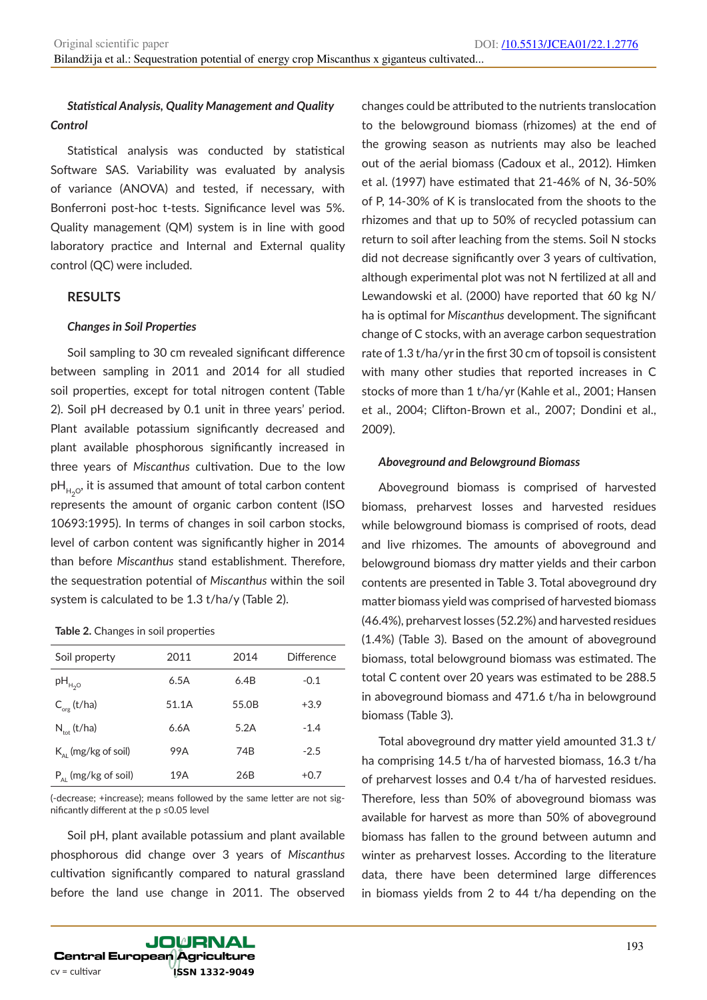## *Statistical Analysis, Quality Management and Quality Control*

Statistical analysis was conducted by statistical Software SAS. Variability was evaluated by analysis of variance (ANOVA) and tested, if necessary, with Bonferroni post-hoc t-tests. Significance level was 5%. Quality management (QM) system is in line with good laboratory practice and Internal and External quality control (QC) were included.

#### **RESULTS**

#### *Changes in Soil Properties*

Soil sampling to 30 cm revealed significant difference between sampling in 2011 and 2014 for all studied soil properties, except for total nitrogen content (Table 2). Soil pH decreased by 0.1 unit in three years' period. Plant available potassium significantly decreased and plant available phosphorous significantly increased in three years of *Miscanthus* cultivation. Due to the low  $pH_{H,0}$ , it is assumed that amount of total carbon content represents the amount of organic carbon content (ISO 10693:1995). In terms of changes in soil carbon stocks, level of carbon content was significantly higher in 2014 than before *Miscanthus* stand establishment. Therefore, the sequestration potential of *Miscanthus* within the soil system is calculated to be 1.3 t/ha/y (Table 2).

#### **Table 2.** Changes in soil properties

| Soil property                   | 2011  | 2014  | Difference |
|---------------------------------|-------|-------|------------|
| $pH_{H_2O}$                     | 6.5A  | 6.4B  | $-0.1$     |
| $C_{\text{org}}(t/ha)$          | 51.1A | 55.0B | $+3.9$     |
| $N_{\text{tot}}$ (t/ha)         | 6.6A  | 5.2A  | $-1.4$     |
| $K_{\text{Al}}$ (mg/kg of soil) | 99A   | 74B   | $-2.5$     |
| $P_{A1}$ (mg/kg of soil)        | 19A   | 26B   | $+0.7$     |

(-decrease; +increase); means followed by the same letter are not significantly different at the p ≤0.05 level

Soil pH, plant available potassium and plant available phosphorous did change over 3 years of *Miscanthus*  cultivation significantly compared to natural grassland before the land use change in 2011. The observed

changes could be attributed to the nutrients translocation to the belowground biomass (rhizomes) at the end of the growing season as nutrients may also be leached out of the aerial biomass (Cadoux et al., 2012). Himken et al. (1997) have estimated that 21-46% of N, 36-50% of P, 14-30% of K is translocated from the shoots to the rhizomes and that up to 50% of recycled potassium can return to soil after leaching from the stems. Soil N stocks did not decrease significantly over 3 years of cultivation, although experimental plot was not N fertilized at all and Lewandowski et al. (2000) have reported that 60 kg N/ ha is optimal for *Miscanthus* development. The significant change of C stocks, with an average carbon sequestration rate of 1.3 t/ha/yr in the first 30 cm of topsoil is consistent with many other studies that reported increases in C stocks of more than 1 t/ha/yr (Kahle et al., 2001; Hansen et al., 2004; Clifton-Brown et al., 2007; Dondini et al., 2009).

#### *Aboveground and Belowground Biomass*

Aboveground biomass is comprised of harvested biomass, preharvest losses and harvested residues while belowground biomass is comprised of roots, dead and live rhizomes. The amounts of aboveground and belowground biomass dry matter yields and their carbon contents are presented in Table 3. Total aboveground dry matter biomass yield was comprised of harvested biomass (46.4%), preharvest losses (52.2%) and harvested residues (1.4%) (Table 3). Based on the amount of aboveground biomass, total belowground biomass was estimated. The total C content over 20 years was estimated to be 288.5 in aboveground biomass and 471.6 t/ha in belowground biomass (Table 3).

Total aboveground dry matter yield amounted 31.3 t/ ha comprising 14.5 t/ha of harvested biomass, 16.3 t/ha of preharvest losses and 0.4 t/ha of harvested residues. Therefore, less than 50% of aboveground biomass was available for harvest as more than 50% of aboveground biomass has fallen to the ground between autumn and winter as preharvest losses. According to the literature data, there have been determined large differences in biomass yields from 2 to 44 t/ha depending on the

**JOURNAL Central European Agriculture** cv = cultivar **ISSN 1332-9049**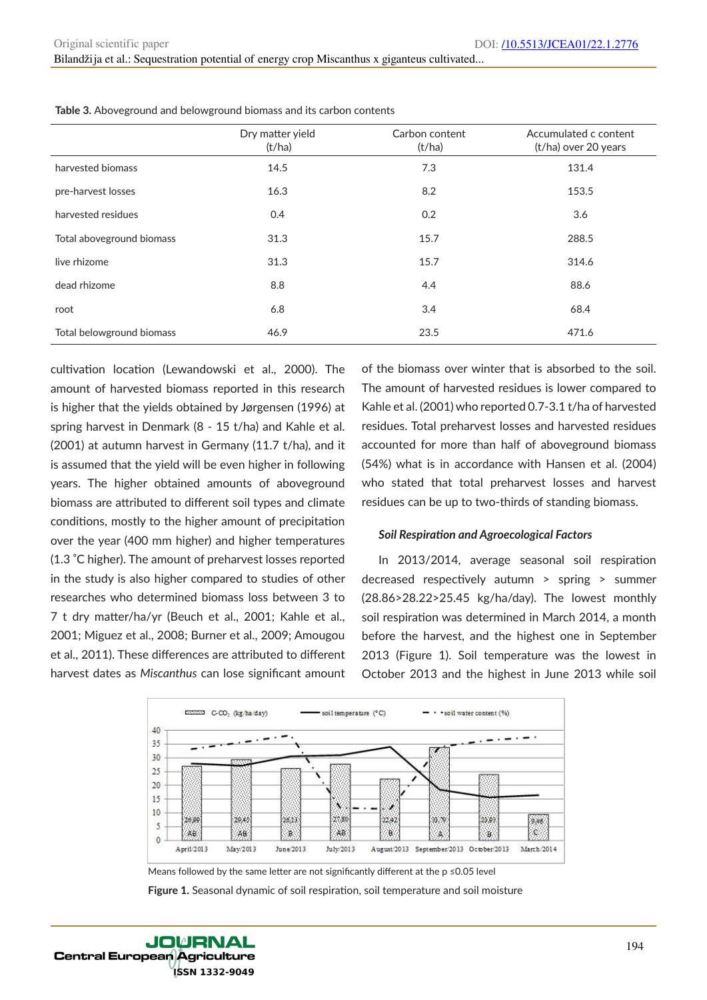|                           | Dry matter yield<br>(t/ha) | Carbon content<br>(t/ha) | Accumulated c content<br>(t/ha) over 20 years |
|---------------------------|----------------------------|--------------------------|-----------------------------------------------|
| harvested biomass         | 14.5                       | 7.3                      | 131.4                                         |
| pre-harvest losses        | 16.3                       | 8.2                      | 153.5                                         |
| harvested residues        | 0.4                        | 0.2                      | 3.6                                           |
| Total aboveground biomass | 31.3                       | 15.7                     | 288.5                                         |
| live rhizome              | 31.3                       | 15.7                     | 314.6                                         |
| dead rhizome              | 8.8                        | 4.4                      | 88.6                                          |
| root                      | 6.8                        | 3.4                      | 68.4                                          |
| Total belowground biomass | 46.9                       | 23.5                     | 471.6                                         |

**Table 3.** Aboveground and belowground biomass and its carbon contents

cultivation location (Lewandowski et al., 2000). The amount of harvested biomass reported in this research is higher that the yields obtained by Jørgensen (1996) at spring harvest in Denmark (8 - 15 t/ha) and Kahle et al. (2001) at autumn harvest in Germany (11.7 t/ha), and it is assumed that the yield will be even higher in following years. The higher obtained amounts of aboveground biomass are attributed to different soil types and climate conditions, mostly to the higher amount of precipitation over the year (400 mm higher) and higher temperatures (1.3 �C higher). The amount of preharvest losses reported in the study is also higher compared to studies of other researches who determined biomass loss between 3 to 7 t dry matter/ha/yr (Beuch et al., 2001; Kahle et al., 2001; Miguez et al., 2008; Burner et al., 2009; Amougou et al., 2011). These differences are attributed to different harvest dates as *Miscanthus* can lose significant amount

of the biomass over winter that is absorbed to the soil. The amount of harvested residues is lower compared to Kahle et al. (2001) who reported 0.7-3.1 t/ha of harvested residues. Total preharvest losses and harvested residues accounted for more than half of aboveground biomass (54%) what is in accordance with Hansen et al. (2004) who stated that total preharvest losses and harvest residues can be up to two-thirds of standing biomass.

#### *Soil Respiration and Agroecological Factors*

In 2013/2014, average seasonal soil respiration decreased respectively autumn > spring > summer (28.86>28.22>25.45 kg/ha/day). The lowest monthly soil respiration was determined in March 2014, a month before the harvest, and the highest one in September 2013 (Figure 1). Soil temperature was the lowest in October 2013 and the highest in June 2013 while soil



**Figure 1.** Seasonal dynamic of soil respiration, soil temperature and soil moisture Means followed by the same letter are not significantly different at the p ≤0.05 level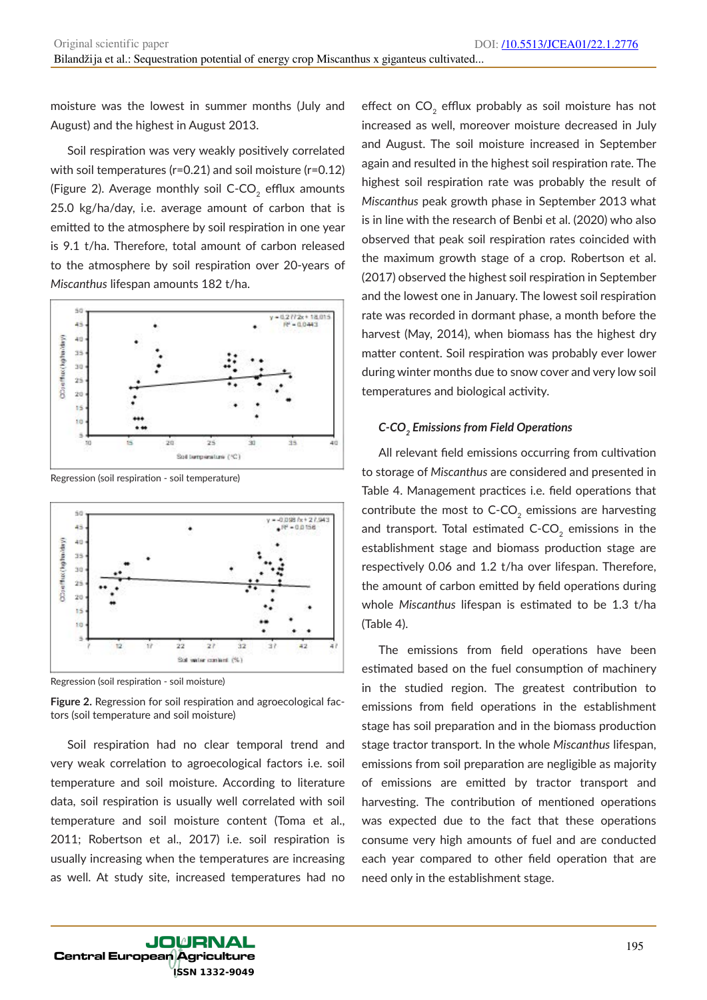moisture was the lowest in summer months (July and August) and the highest in August 2013.

Soil respiration was very weakly positively correlated with soil temperatures (r=0.21) and soil moisture (r=0.12) (Figure 2). Average monthly soil C-CO<sub>2</sub> efflux amounts 25.0 kg/ha/day, i.e. average amount of carbon that is emitted to the atmosphere by soil respiration in one year is 9.1 t/ha. Therefore, total amount of carbon released to the atmosphere by soil respiration over 20-years of *Miscanthus* lifespan amounts 182 t/ha.



Regression (soil respiration - soil temperature)



Regression (soil respiration - soil moisture)

**Figure 2.** Regression for soil respiration and agroecological factors (soil temperature and soil moisture)

Soil respiration had no clear temporal trend and very weak correlation to agroecological factors i.e. soil temperature and soil moisture. According to literature data, soil respiration is usually well correlated with soil temperature and soil moisture content (Toma et al., 2011; Robertson et al., 2017) i.e. soil respiration is usually increasing when the temperatures are increasing as well. At study site, increased temperatures had no

effect on  $CO<sub>2</sub>$  efflux probably as soil moisture has not increased as well, moreover moisture decreased in July and August. The soil moisture increased in September again and resulted in the highest soil respiration rate. The highest soil respiration rate was probably the result of *Miscanthus* peak growth phase in September 2013 what is in line with the research of Benbi et al. (2020) who also observed that peak soil respiration rates coincided with the maximum growth stage of a crop. Robertson et al. (2017) observed the highest soil respiration in September and the lowest one in January. The lowest soil respiration rate was recorded in dormant phase, a month before the harvest (May, 2014), when biomass has the highest dry matter content. Soil respiration was probably ever lower during winter months due to snow cover and very low soil temperatures and biological activity.

#### *C-CO2 Emissions from Field Operations*

All relevant field emissions occurring from cultivation to storage of *Miscanthus* are considered and presented in Table 4. Management practices i.e. field operations that contribute the most to  $C$ -CO<sub>2</sub> emissions are harvesting and transport. Total estimated  $C$ - $CO<sub>2</sub>$  emissions in the establishment stage and biomass production stage are respectively 0.06 and 1.2 t/ha over lifespan. Therefore, the amount of carbon emitted by field operations during whole *Miscanthus* lifespan is estimated to be 1.3 t/ha (Table 4).

The emissions from field operations have been estimated based on the fuel consumption of machinery in the studied region. The greatest contribution to emissions from field operations in the establishment stage has soil preparation and in the biomass production stage tractor transport. In the whole *Miscanthus* lifespan, emissions from soil preparation are negligible as majority of emissions are emitted by tractor transport and harvesting. The contribution of mentioned operations was expected due to the fact that these operations consume very high amounts of fuel and are conducted each year compared to other field operation that are need only in the establishment stage.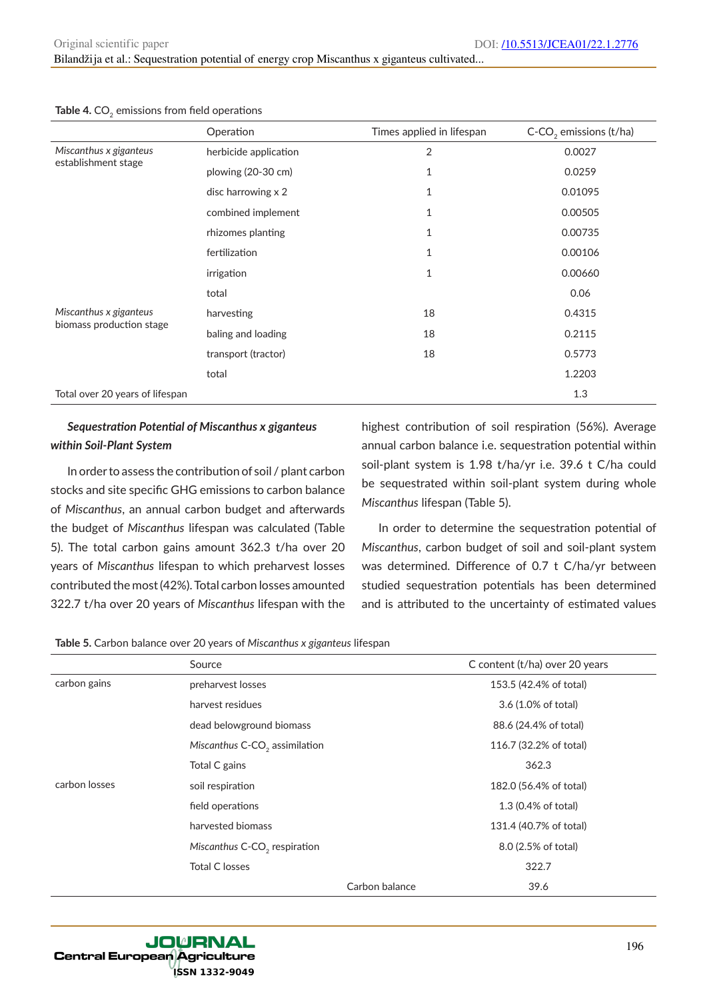Operation Times applied in lifespan C-CO<sub>2</sub> emissions (t/ha) *Miscanthus x giganteus* establishment stage herbicide application and the contraction of the contraction of  $2$  0.0027 plowing (20-30 cm) 1 0.0259 disc harrowing  $\times 2$  1 0.01095 combined implement 1 0.00505 rhizomes planting 1 0.00735 fertilization 1 0.00106 irrigation 1 0.00660 total 0.06 *Miscanthus x giganteus* biomass production stage harvesting 18 0.4315 baling and loading and loading the control of the control of the control of the control of the control of the control of the control of the control of the control of the control of the control of the control of the control transport (tractor) 18 0.5773 total 1.2203 Total over 20 years of lifespan 1.3

## Table 4. CO<sub>2</sub> emissions from field operations

# *Sequestration Potential of Miscanthus x giganteus*

## *within Soil-Plant System*

In order to assess the contribution of soil / plant carbon stocks and site specific GHG emissions to carbon balance of *Miscanthus*, an annual carbon budget and afterwards the budget of *Miscanthus* lifespan was calculated (Table 5). The total carbon gains amount 362.3 t/ha over 20 years of *Miscanthus* lifespan to which preharvest losses contributed the most (42%). Total carbon losses amounted 322.7 t/ha over 20 years of *Miscanthus* lifespan with the highest contribution of soil respiration (56%). Average annual carbon balance i.e. sequestration potential within soil-plant system is 1.98 t/ha/yr i.e. 39.6 t C/ha could be sequestrated within soil-plant system during whole *Miscanthus* lifespan (Table 5).

In order to determine the sequestration potential of *Miscanthus*, carbon budget of soil and soil-plant system was determined. Difference of 0.7 t C/ha/yr between studied sequestration potentials has been determined and is attributed to the uncertainty of estimated values

**Table 5.** Carbon balance over 20 years of *Miscanthus x giganteus* lifespan

|               | Source                                    | C content (t/ha) over 20 years |                        |  |
|---------------|-------------------------------------------|--------------------------------|------------------------|--|
| carbon gains  | preharvest losses                         |                                | 153.5 (42.4% of total) |  |
|               | harvest residues                          |                                | 3.6 (1.0% of total)    |  |
| carbon losses | dead belowground biomass                  |                                | 88.6 (24.4% of total)  |  |
|               | Miscanthus C-CO <sub>2</sub> assimilation |                                | 116.7 (32.2% of total) |  |
|               | Total C gains                             |                                | 362.3                  |  |
|               | soil respiration                          |                                | 182.0 (56.4% of total) |  |
|               | field operations                          |                                | 1.3 (0.4% of total)    |  |
|               | harvested biomass                         |                                | 131.4 (40.7% of total) |  |
|               | Miscanthus C-CO <sub>2</sub> respiration  |                                | 8.0 (2.5% of total)    |  |
|               | <b>Total C losses</b>                     |                                | 322.7                  |  |
|               |                                           | Carbon balance                 | 39.6                   |  |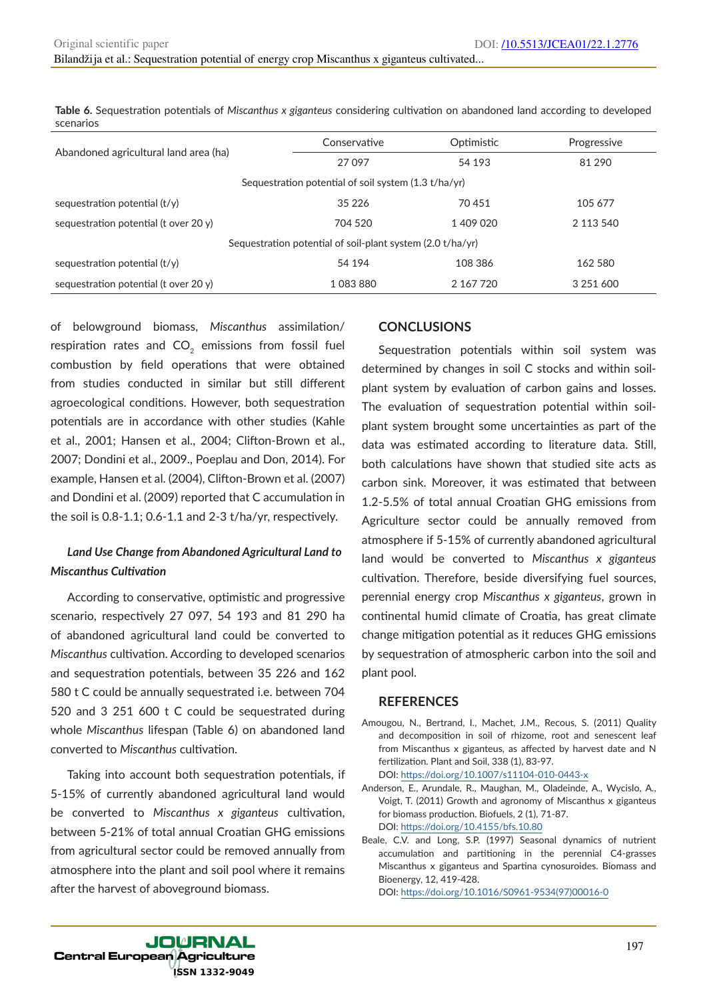**Table 6.** Sequestration potentials of *Miscanthus x giganteus* considering cultivation on abandoned land according to developed scenarios

|                                                            | Conservative | Optimistic | Progressive   |  |  |  |
|------------------------------------------------------------|--------------|------------|---------------|--|--|--|
| Abandoned agricultural land area (ha)                      | 27097        | 54 193     | 81 290        |  |  |  |
| Sequestration potential of soil system (1.3 t/ha/yr)       |              |            |               |  |  |  |
| sequestration potential $(t/y)$                            | 35 226       | 70451      | 105 677       |  |  |  |
| sequestration potential (t over $20 y$ )                   | 704 520      | 1409020    | 2 113 540     |  |  |  |
| Sequestration potential of soil-plant system (2.0 t/ha/yr) |              |            |               |  |  |  |
| sequestration potential $(t/y)$                            | 54 194       | 108 386    | 162 580       |  |  |  |
| sequestration potential (t over 20 $y$ )                   | 1083880      | 2 167 720  | 3 2 5 1 6 0 0 |  |  |  |

of belowground biomass, *Miscanthus* assimilation/ respiration rates and  $CO<sub>2</sub>$  emissions from fossil fuel combustion by field operations that were obtained from studies conducted in similar but still different agroecological conditions. However, both sequestration potentials are in accordance with other studies (Kahle et al., 2001; Hansen et al., 2004; Clifton-Brown et al., 2007; Dondini et al., 2009., Poeplau and Don, 2014). For example, Hansen et al. (2004), Clifton-Brown et al. (2007) and Dondini et al. (2009) reported that C accumulation in the soil is 0.8-1.1; 0.6-1.1 and 2-3 t/ha/yr, respectively.

## *Land Use Change from Abandoned Agricultural Land to Miscanthus Cultivation*

According to conservative, optimistic and progressive scenario, respectively 27 097, 54 193 and 81 290 ha of abandoned agricultural land could be converted to *Miscanthus* cultivation. According to developed scenarios and sequestration potentials, between 35 226 and 162 580 t C could be annually sequestrated i.e. between 704 520 and 3 251 600 t C could be sequestrated during whole *Miscanthus* lifespan (Table 6) on abandoned land converted to *Miscanthus* cultivation.

Taking into account both sequestration potentials, if 5-15% of currently abandoned agricultural land would be converted to *Miscanthus x giganteus* cultivation, between 5-21% of total annual Croatian GHG emissions from agricultural sector could be removed annually from atmosphere into the plant and soil pool where it remains after the harvest of aboveground biomass.

## **CONCLUSIONS**

Sequestration potentials within soil system was determined by changes in soil C stocks and within soilplant system by evaluation of carbon gains and losses. The evaluation of sequestration potential within soilplant system brought some uncertainties as part of the data was estimated according to literature data. Still, both calculations have shown that studied site acts as carbon sink. Moreover, it was estimated that between 1.2-5.5% of total annual Croatian GHG emissions from Agriculture sector could be annually removed from atmosphere if 5-15% of currently abandoned agricultural land would be converted to *Miscanthus x giganteus*  cultivation. Therefore, beside diversifying fuel sources, perennial energy crop *Miscanthus x giganteus*, grown in continental humid climate of Croatia, has great climate change mitigation potential as it reduces GHG emissions by sequestration of atmospheric carbon into the soil and plant pool.

#### **REFERENCES**

- Amougou, N., Bertrand, I., Machet, J.M., Recous, S. (2011) Quality and decomposition in soil of rhizome, root and senescent leaf from Miscanthus x giganteus, as affected by harvest date and N fertilization. Plant and Soil, 338 (1), 83-97. DOI: https://doi.org/10.1007/s11104-010-0443-x
- Anderson, E., Arundale, R., Maughan, M., Oladeinde, A., Wycislo, A., Voigt, T. (2011) Growth and agronomy of Miscanthus x giganteus for biomass production. Biofuels, 2 (1), 71-87. DOI: https://doi.org/10.4155/bfs.10.80
- Beale, C.V. and Long, S.P. (1997) Seasonal dynamics of nutrient accumulation and partitioning in the perennial C4-grasses Miscanthus x giganteus and Spartina cynosuroides. Biomass and Bioenergy, 12, 419-428.

DOI: https://doi.org/10.1016/S0961-9534(97)00016-0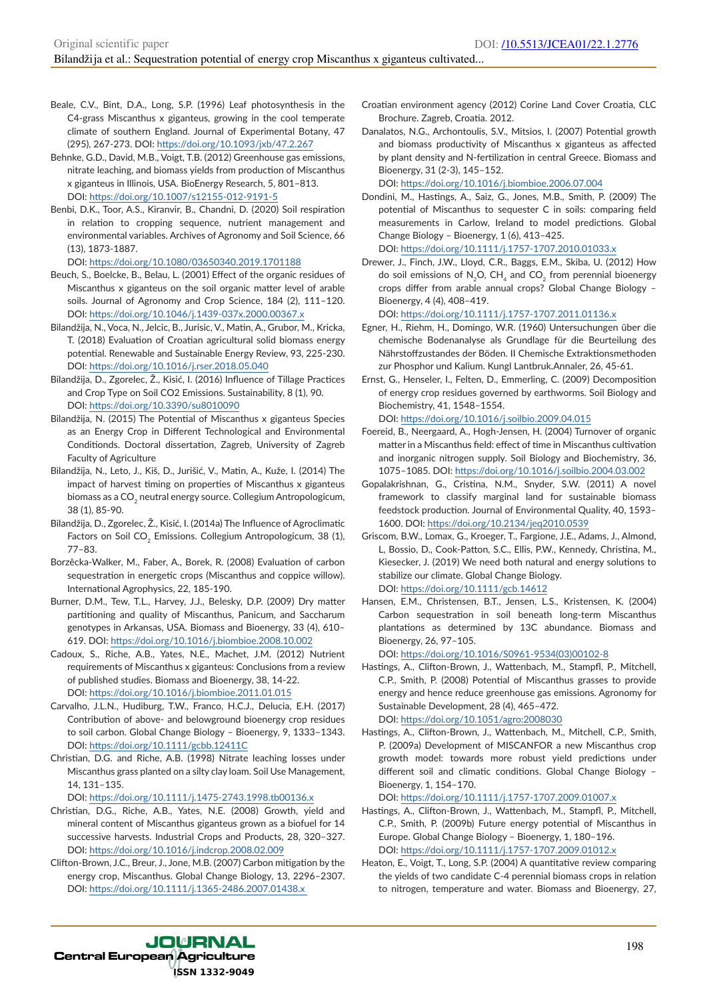- Beale, C.V., Bint, D.A., Long, S.P. (1996) Leaf photosynthesis in the C4-grass Miscanthus x giganteus, growing in the cool temperate climate of southern England. Journal of Experimental Botany, 47 (295), 267-273. DOI: https://doi.org/10.1093/jxb/47.2.267
- Behnke, G.D., David, M.B., Voigt, T.B. (2012) Greenhouse gas emissions, nitrate leaching, and biomass yields from production of Miscanthus x giganteus in Illinois, USA. BioEnergy Research, 5, 801–813. DOI: https://doi.org/10.1007/s12155-012-9191-5
- Benbi, D.K., Toor, A.S., Kiranvir, B., Chandni, D. (2020) Soil respiration in relation to cropping sequence, nutrient management and environmental variables. Archives of Agronomy and Soil Science, 66 (13), 1873-1887.

DOI: https://doi.org/10.1080/03650340.2019.1701188

- Beuch, S., Boelcke, B., Belau, L. (2001) Effect of the organic residues of Miscanthus x giganteus on the soil organic matter level of arable soils. Journal of Agronomy and Crop Science, 184 (2), 111–120. DOI: https://doi.org/10.1046/j.1439-037x.2000.00367.x
- Bilandžija, N., Voca, N., Jelcic, B., Jurisic, V., Matin, A., Grubor, M., Kricka, T. (2018) Evaluation of Croatian agricultural solid biomass energy potential. Renewable and Sustainable Energy Review, 93, 225-230. DOI: https://doi.org/10.1016/j.rser.2018.05.040
- Bilandžija, D., Zgorelec, Ž., Kisić, I. (2016) Influence of Tillage Practices and Crop Type on Soil CO2 Emissions. Sustainability, 8 (1), 90. DOI: https://doi.org/10.3390/su8010090
- Bilandžija, N. (2015) The Potential of Miscanthus x giganteus Species as an Energy Crop in Different Technological and Environmental Conditionds. Doctoral dissertation, Zagreb, University of Zagreb Faculty of Agriculture
- Bilandžija, N., Leto, J., Kiš, D., Jurišić, V., Matin, A., Kuže, I. (2014) The impact of harvest timing on properties of Miscanthus x giganteus biomass as a CO<sub>2</sub> neutral energy source. Collegium Antropologicum, 38 (1), 85-90.
- Bilandžija, D., Zgorelec, Ž., Kisić, I. (2014a) The Influence of Agroclimatic Factors on Soil CO<sub>2</sub> Emissions. Collegium Antropologicum, 38 (1), 77–83.
- Borzêcka-Walker, M., Faber, A., Borek, R. (2008) Evaluation of carbon sequestration in energetic crops (Miscanthus and coppice willow). International Agrophysics, 22, 185-190.
- Burner, D.M., Tew, T.L., Harvey, J.J., Belesky, D.P. (2009) Dry matter partitioning and quality of Miscanthus, Panicum, and Saccharum genotypes in Arkansas, USA. Biomass and Bioenergy, 33 (4), 610– 619. DOI: https://doi.org/10.1016/j.biombioe.2008.10.002
- Cadoux, S., Riche, A.B., Yates, N.E., Machet, J.M. (2012) Nutrient requirements of Miscanthus x giganteus: Conclusions from a review of published studies. Biomass and Bioenergy, 38, 14-22. DOI: https://doi.org/10.1016/j.biombioe.2011.01.015
- Carvalho, J.L.N., Hudiburg, T.W., Franco, H.C.J., Delucia, E.H. (2017) Contribution of above- and belowground bioenergy crop residues to soil carbon. Global Change Biology – Bioenergy, 9, 1333–1343. DOI: https://doi.org/10.1111/gcbb.12411C
- Christian, D.G. and Riche, A.B. (1998) Nitrate leaching losses under Miscanthus grass planted on a silty clay loam. Soil Use Management, 14, 131–135.

DOI: https://doi.org/10.1111/j.1475-2743.1998.tb00136.x

- Christian, D.G., Riche, A.B., Yates, N.E. (2008) Growth, yield and mineral content of Miscanthus giganteus grown as a biofuel for 14 successive harvests. Industrial Crops and Products, 28, 320–327. DOI: https://doi.org/10.1016/j.indcrop.2008.02.009
- Clifton-Brown, J.C., Breur, J., Jone, M.B. (2007) Carbon mitigation by the energy crop, Miscanthus. Global Change Biology, 13, 2296–2307. DOI: https://doi.org/10.1111/j.1365-2486.2007.01438.x
- Croatian environment agency (2012) Corine Land Cover Croatia, CLC Brochure. Zagreb, Croatia. 2012.
- Danalatos, N.G., Archontoulis, S.V., Mitsios, I. (2007) Potential growth and biomass productivity of Miscanthus x giganteus as affected by plant density and N-fertilization in central Greece. Biomass and Bioenergy, 31 (2-3), 145–152.

DOI: https://doi.org/10.1016/j.biombioe.2006.07.004

- Dondini, M., Hastings, A., Saiz, G., Jones, M.B., Smith, P. (2009) The potential of Miscanthus to sequester C in soils: comparing field measurements in Carlow, Ireland to model predictions. Global Change Biology – Bioenergy, 1 (6), 413–425. DOI: https://doi.org/10.1111/j.1757-1707.2010.01033.x
- Drewer, J., Finch, J.W., Lloyd, C.R., Baggs, E.M., Skiba, U. (2012) How do soil emissions of N<sub>2</sub>O, CH<sub>4</sub> and CO<sub>2</sub> from perennial bioenergy crops differ from arable annual crops? Global Change Biology – Bioenergy, 4 (4), 408–419.

DOI: https://doi.org/10.1111/j.1757-1707.2011.01136.x

- Egner, H., Riehm, H., Domingo, W.R. (1960) Untersuchungen über die chemische Bodenanalyse als Grundlage für die Beurteilung des Nährstoffzustandes der Böden. II Chemische Extraktionsmethoden zur Phosphor und Kalium. Kungl Lantbruk.Annaler, 26, 45-61.
- Ernst, G., Henseler, I., Felten, D., Emmerling, C. (2009) Decomposition of energy crop residues governed by earthworms. Soil Biology and Biochemistry, 41, 1548–1554. DOI: https://doi.org/10.1016/j.soilbio.2009.04.015
- Foereid, B., Neergaard, A., Hogh-Jensen, H. (2004) Turnover of organic matter in a Miscanthus field: effect of time in Miscanthus cultivation and inorganic nitrogen supply. Soil Biology and Biochemistry, 36, 1075–1085. DOI: https://doi.org/10.1016/j.soilbio.2004.03.002
- Gopalakrishnan, G., Cristina, N.M., Snyder, S.W. (2011) A novel framework to classify marginal land for sustainable biomass feedstock production. Journal of Environmental Quality, 40, 1593– 1600. DOI: https://doi.org/10.2134/jeq2010.0539
- Griscom, B.W., Lomax, G., Kroeger, T., Fargione, J.E., Adams, J., Almond, L, Bossio, D., Cook‐Patton, S.C., Ellis, P.W., Kennedy, Christina, M., Kiesecker, J. (2019) We need both natural and energy solutions to stabilize our climate. Global Change Biology. DOI: https://doi.org/10.1111/gcb.14612
- Hansen, E.M., Christensen, B.T., Jensen, L.S., Kristensen, K. (2004) Carbon sequestration in soil beneath long-term Miscanthus plantations as determined by 13C abundance. Biomass and Bioenergy, 26, 97–105.

DOI: https://doi.org/10.1016/S0961-9534(03)00102-8

- Hastings, A., Clifton-Brown, J., Wattenbach, M., Stampfl, P., Mitchell, C.P., Smith, P. (2008) Potential of Miscanthus grasses to provide energy and hence reduce greenhouse gas emissions. Agronomy for Sustainable Development, 28 (4), 465–472. DOI: https://doi.org/10.1051/agro:2008030
- Hastings, A., Clifton-Brown, J., Wattenbach, M., Mitchell, C.P., Smith, P. (2009a) Development of MISCANFOR a new Miscanthus crop growth model: towards more robust yield predictions under different soil and climatic conditions. Global Change Biology – Bioenergy, 1, 154–170.

DOI: https://doi.org/10.1111/j.1757-1707.2009.01007.x

- Hastings, A., Clifton-Brown, J., Wattenbach, M., Stampfl, P., Mitchell, C.P., Smith, P. (2009b) Future energy potential of Miscanthus in Europe. Global Change Biology – Bioenergy, 1, 180–196. DOI: https://doi.org/10.1111/j.1757-1707.2009.01012.x
- Heaton, E., Voigt, T., Long, S.P. (2004) A quantitative review comparing the yields of two candidate C-4 perennial biomass crops in relation to nitrogen, temperature and water. Biomass and Bioenergy, 27,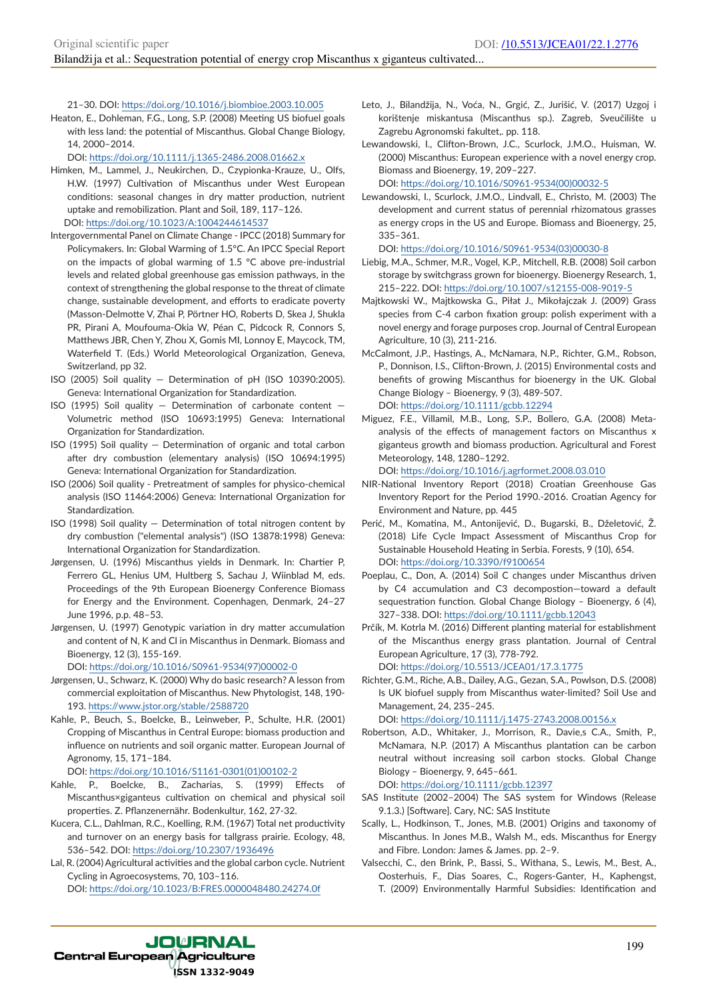21–30. DOI: https://doi.org/10.1016/j.biombioe.2003.10.005

Heaton, E., Dohleman, F.G., Long, S.P. (2008) Meeting US biofuel goals with less land: the potential of Miscanthus. Global Change Biology, 14, 2000–2014.

DOI: https://doi.org/10.1111/j.1365-2486.2008.01662.x

- Himken, M., Lammel, J., Neukirchen, D., Czypionka-Krauze, U., Olfs, H.W. (1997) Cultivation of Miscanthus under West European conditions: seasonal changes in dry matter production, nutrient uptake and remobilization. Plant and Soil, 189, 117–126. DOI: https://doi.org/10.1023/A:1004244614537
- Intergovernmental Panel on Climate Change IPCC (2018) Summary for Policymakers. In: Global Warming of 1.5°C. An IPCC Special Report on the impacts of global warming of 1.5 °C above pre-industrial levels and related global greenhouse gas emission pathways, in the context of strengthening the global response to the threat of climate change, sustainable development, and efforts to eradicate poverty (Masson-Delmotte V, Zhai P, Pörtner HO, Roberts D, Skea J, Shukla PR, Pirani A, Moufouma-Okia W, Péan C, Pidcock R, Connors S, Matthews JBR, Chen Y, Zhou X, Gomis MI, Lonnoy E, Maycock, TM, Waterfield T. (Eds.) World Meteorological Organization, Geneva, Switzerland, pp 32.
- ISO (2005) Soil quality Determination of pH (ISO 10390:2005). Geneva: International Organization for Standardization.
- ISO (1995) Soil quality Determination of carbonate content Volumetric method (ISO 10693:1995) Geneva: International Organization for Standardization.
- ISO (1995) Soil quality Determination of organic and total carbon after dry combustion (elementary analysis) (ISO 10694:1995) Geneva: International Organization for Standardization.
- ISO (2006) Soil quality Pretreatment of samples for physico-chemical analysis (ISO 11464:2006) Geneva: International Organization for Standardization.
- ISO (1998) Soil quality Determination of total nitrogen content by dry combustion ("elemental analysis") (ISO 13878:1998) Geneva: International Organization for Standardization.
- Jørgensen, U. (1996) Miscanthus yields in Denmark. In: Chartier P, Ferrero GL, Henius UM, Hultberg S, Sachau J, Wiinblad M, eds. Proceedings of the 9th European Bioenergy Conference Biomass for Energy and the Environment. Copenhagen, Denmark, 24–27 June 1996, p.p. 48–53.
- Jørgensen, U. (1997) Genotypic variation in dry matter accumulation and content of N, K and Cl in Miscanthus in Denmark. Biomass and Bioenergy, 12 (3), 155-169.

DOI: https://doi.org/10.1016/S0961-9534(97)00002-0

- Jørgensen, U., Schwarz, K. (2000) Why do basic research? A lesson from commercial exploitation of Miscanthus. New Phytologist, 148, 190- 193. https://www.jstor.org/stable/2588720
- Kahle, P., Beuch, S., Boelcke, B., Leinweber, P., Schulte, H.R. (2001) Cropping of Miscanthus in Central Europe: biomass production and influence on nutrients and soil organic matter. European Journal of Agronomy, 15, 171–184.

DOI: https://doi.org/10.1016/S1161-0301(01)00102-2

- Kahle, P., Boelcke, B., Zacharias, S. (1999) Effects of Miscanthus×giganteus cultivation on chemical and physical soil properties. Z. Pflanzenernähr. Bodenkultur, 162, 27-32.
- Kucera, C.L., Dahlman, R.C., Koelling, R.M. (1967) Total net productivity and turnover on an energy basis for tallgrass prairie. Ecology, 48, 536–542. DOI: https://doi.org/10.2307/1936496
- Lal, R. (2004) Agricultural activities and the global carbon cycle. Nutrient Cycling in Agroecosystems, 70, 103–116. DOI: https://doi.org/10.1023/B:FRES.0000048480.24274.0f

Leto, J., Bilandžija, N., Voća, N., Grgić, Z., Jurišić, V. (2017) Uzgoj i korištenje miskantusa (Miscanthus sp.). Zagreb, Sveučilište u Zagrebu Agronomski fakultet,. pp. 118.

Lewandowski, I., Clifton-Brown, J.C., Scurlock, J.M.O., Huisman, W. (2000) Miscanthus: European experience with a novel energy crop. Biomass and Bioenergy, 19, 209–227. DOI: https://doi.org/10.1016/S0961-9534(00)00032-5

Lewandowski, I., Scurlock, J.M.O., Lindvall, E., Christo, M. (2003) The development and current status of perennial rhizomatous grasses as energy crops in the US and Europe. Biomass and Bioenergy, 25, 335–361.

DOI: https://doi.org/10.1016/S0961-9534(03)00030-8

- Liebig, M.A., Schmer, M.R., Vogel, K.P., Mitchell, R.B. (2008) Soil carbon storage by switchgrass grown for bioenergy. Bioenergy Research, 1, 215–222. DOI: https://doi.org/10.1007/s12155-008-9019-5
- Majtkowski W., Majtkowska G., Piłat J., Mikołajczak J. (2009) Grass species from C-4 carbon fixation group: polish experiment with a novel energy and forage purposes crop. Journal of Central European Agriculture, 10 (3), 211-216.
- McCalmont, J.P., Hastings, A., McNamara, N.P., Richter, G.M., Robson, P., Donnison, I.S., Clifton-Brown, J. (2015) Environmental costs and benefits of growing Miscanthus for bioenergy in the UK. Global Change Biology – Bioenergy, 9 (3), 489-507. DOI: https://doi.org/10.1111/gcbb.12294
- Miguez, F.E., Villamil, M.B., Long, S.P., Bollero, G.A. (2008) Metaanalysis of the effects of management factors on Miscanthus x giganteus growth and biomass production. Agricultural and Forest Meteorology, 148, 1280–1292.

DOI: https://doi.org/10.1016/j.agrformet.2008.03.010

- NIR-National Inventory Report (2018) Croatian Greenhouse Gas Inventory Report for the Period 1990.-2016. Croatian Agency for Environment and Nature, pp. 445
- Perić, M., Komatina, M., Antonijević, D., Bugarski, B., Dželetović, Ž. (2018) Life Cycle Impact Assessment of Miscanthus Crop for Sustainable Household Heating in Serbia. Forests, 9 (10), 654. DOI: https://doi.org/10.3390/f9100654
- Poeplau, C., Don, A. (2014) Soil C changes under Miscanthus driven by C4 accumulation and C3 decompostion—toward a default sequestration function. Global Change Biology – Bioenergy, 6 (4), 327–338. DOI: https://doi.org/10.1111/gcbb.12043

Prčík, M. Kotrla M. (2016) Different planting material for establishment of the Miscanthus energy grass plantation. Journal of Central European Agriculture, 17 (3), 778-792.

DOI: https://doi.org/10.5513/JCEA01/17.3.1775

Richter, G.M., Riche, A.B., Dailey, A.G., Gezan, S.A., Powlson, D.S. (2008) Is UK biofuel supply from Miscanthus water‐limited? Soil Use and Management, 24, 235–245.

DOI: https://doi.org/10.1111/j.1475-2743.2008.00156.x

Robertson, A.D., Whitaker, J., Morrison, R., Davie,s C.A., Smith, P., McNamara, N.P. (2017) A Miscanthus plantation can be carbon neutral without increasing soil carbon stocks. Global Change Biology – Bioenergy, 9, 645–661.

DOI: https://doi.org/10.1111/gcbb.12397

- SAS Institute (2002–2004) The SAS system for Windows (Release 9.1.3.) [Software]. Cary, NC: SAS Institute
- Scally, L., Hodkinson, T., Jones, M.B. (2001) Origins and taxonomy of Miscanthus. In Jones M.B., Walsh M., eds. Miscanthus for Energy and Fibre. London: James & James. pp. 2–9.
- Valsecchi, C., den Brink, P., Bassi, S., Withana, S., Lewis, M., Best, A., Oosterhuis, F., Dias Soares, C., Rogers-Ganter, H., Kaphengst, T. (2009) Environmentally Harmful Subsidies: Identification and